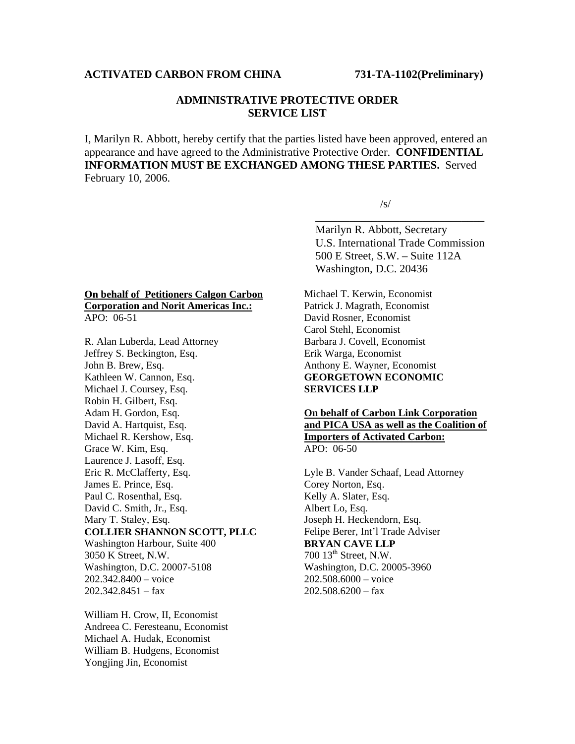## **ACTIVATED CARBON FROM CHINA 731-TA-1102(Preliminary)**

## **ADMINISTRATIVE PROTECTIVE ORDER SERVICE LIST**

I, Marilyn R. Abbott, hereby certify that the parties listed have been approved, entered an appearance and have agreed to the Administrative Protective Order. **CONFIDENTIAL INFORMATION MUST BE EXCHANGED AMONG THESE PARTIES.** Served February 10, 2006.

 $\overline{\phantom{a}}$  , which is a set of the contract of the contract of the contract of the contract of the contract of the contract of the contract of the contract of the contract of the contract of the contract of the contract

 $\sqrt{s/2}$ 

 Marilyn R. Abbott, Secretary U.S. International Trade Commission 500 E Street, S.W. – Suite 112A Washington, D.C. 20436

## **On behalf of Petitioners Calgon Carbon Corporation and Norit Americas Inc.:** APO: 06-51

R. Alan Luberda, Lead Attorney Jeffrey S. Beckington, Esq. John B. Brew, Esq. Kathleen W. Cannon, Esq. Michael J. Coursey, Esq. Robin H. Gilbert, Esq. Adam H. Gordon, Esq. David A. Hartquist, Esq. Michael R. Kershow, Esq. Grace W. Kim, Esq. Laurence J. Lasoff, Esq. Eric R. McClafferty, Esq. James E. Prince, Esq. Paul C. Rosenthal, Esq. David C. Smith, Jr., Esq. Mary T. Staley, Esq. **COLLIER SHANNON SCOTT, PLLC** Washington Harbour, Suite 400 3050 K Street, N.W. Washington, D.C. 20007-5108 202.342.8400 – voice  $202.342.8451 - fax$ 

William H. Crow, II, Economist Andreea C. Feresteanu, Economist Michael A. Hudak, Economist William B. Hudgens, Economist Yongjing Jin, Economist

Michael T. Kerwin, Economist Patrick J. Magrath, Economist David Rosner, Economist Carol Stehl, Economist Barbara J. Covell, Economist Erik Warga, Economist Anthony E. Wayner, Economist **GEORGETOWN ECONOMIC SERVICES LLP**

## **On behalf of Carbon Link Corporation and PICA USA as well as the Coalition of Importers of Activated Carbon:** APO: 06-50

Lyle B. Vander Schaaf, Lead Attorney Corey Norton, Esq. Kelly A. Slater, Esq. Albert Lo, Esq. Joseph H. Heckendorn, Esq. Felipe Berer, Int'l Trade Adviser **BRYAN CAVE LLP**  $700\;13^{\text{th}}$  Street, N.W. Washington, D.C. 20005-3960 202.508.6000 – voice  $202.508.6200 - f$ ax